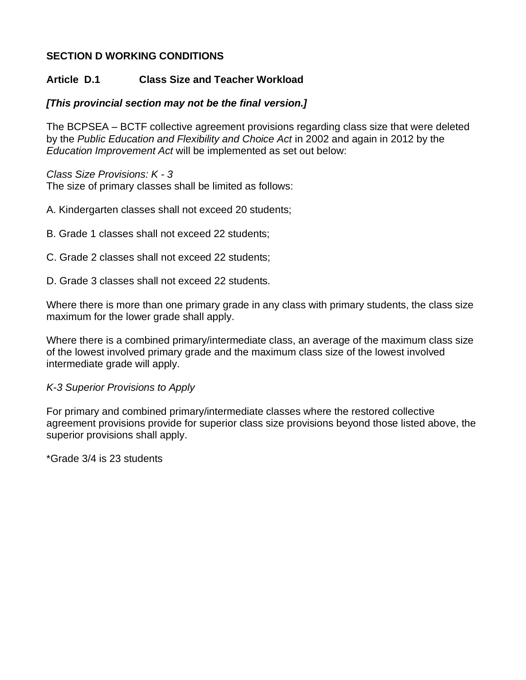## **SECTION D WORKING CONDITIONS**

# **Article D.1 Class Size and Teacher Workload**

# *[This provincial section may not be the final version.]*

The BCPSEA – BCTF collective agreement provisions regarding class size that were deleted by the *Public Education and Flexibility and Choice Act* in 2002 and again in 2012 by the *Education Improvement Act* will be implemented as set out below:

## *Class Size Provisions: K - 3*

The size of primary classes shall be limited as follows:

- A. Kindergarten classes shall not exceed 20 students;
- B. Grade 1 classes shall not exceed 22 students;
- C. Grade 2 classes shall not exceed 22 students;
- D. Grade 3 classes shall not exceed 22 students.

Where there is more than one primary grade in any class with primary students, the class size maximum for the lower grade shall apply.

Where there is a combined primary/intermediate class, an average of the maximum class size of the lowest involved primary grade and the maximum class size of the lowest involved intermediate grade will apply.

## *K-3 Superior Provisions to Apply*

For primary and combined primary/intermediate classes where the restored collective agreement provisions provide for superior class size provisions beyond those listed above, the superior provisions shall apply.

\*Grade 3/4 is 23 students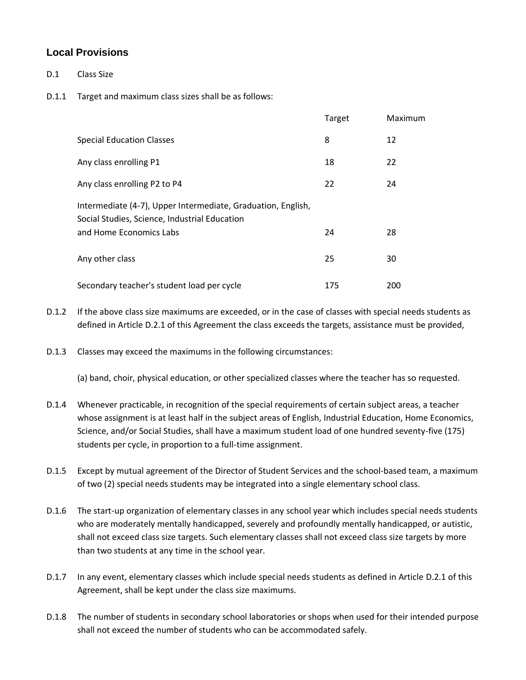#### **Local Provisions**

- D.1 Class Size
- D.1.1 Target and maximum class sizes shall be as follows:

|                                                                                                               | Target | Maximum |
|---------------------------------------------------------------------------------------------------------------|--------|---------|
| <b>Special Education Classes</b>                                                                              | 8      | 12      |
| Any class enrolling P1                                                                                        | 18     | 22      |
| Any class enrolling P2 to P4                                                                                  | 22     | 24      |
| Intermediate (4-7), Upper Intermediate, Graduation, English,<br>Social Studies, Science, Industrial Education |        |         |
| and Home Economics Labs                                                                                       | 24     | 28      |
| Any other class                                                                                               | 25     | 30      |
| Secondary teacher's student load per cycle                                                                    | 175    | 200     |

- D.1.2 If the above class size maximums are exceeded, or in the case of classes with special needs students as defined in Article D.2.1 of this Agreement the class exceeds the targets, assistance must be provided,
- D.1.3 Classes may exceed the maximums in the following circumstances:

(a) band, choir, physical education, or other specialized classes where the teacher has so requested.

- D.1.4 Whenever practicable, in recognition of the special requirements of certain subject areas, a teacher whose assignment is at least half in the subject areas of English, Industrial Education, Home Economics, Science, and/or Social Studies, shall have a maximum student load of one hundred seventy-five (175) students per cycle, in proportion to a full-time assignment.
- D.1.5 Except by mutual agreement of the Director of Student Services and the school-based team, a maximum of two (2) special needs students may be integrated into a single elementary school class.
- D.1.6 The start-up organization of elementary classes in any school year which includes special needs students who are moderately mentally handicapped, severely and profoundly mentally handicapped, or autistic, shall not exceed class size targets. Such elementary classes shall not exceed class size targets by more than two students at any time in the school year.
- D.1.7 In any event, elementary classes which include special needs students as defined in Article D.2.1 of this Agreement, shall be kept under the class size maximums.
- D.1.8 The number of students in secondary school laboratories or shops when used for their intended purpose shall not exceed the number of students who can be accommodated safely.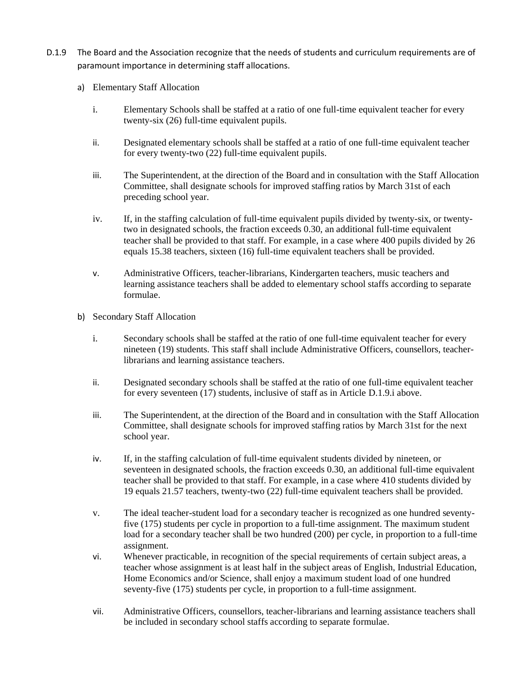- D.1.9 The Board and the Association recognize that the needs of students and curriculum requirements are of paramount importance in determining staff allocations.
	- a) Elementary Staff Allocation
		- i. Elementary Schools shall be staffed at a ratio of one full-time equivalent teacher for every twenty-six (26) full-time equivalent pupils.
		- ii. Designated elementary schools shall be staffed at a ratio of one full-time equivalent teacher for every twenty-two (22) full-time equivalent pupils.
		- iii. The Superintendent, at the direction of the Board and in consultation with the Staff Allocation Committee, shall designate schools for improved staffing ratios by March 31st of each preceding school year.
		- iv. If, in the staffing calculation of full-time equivalent pupils divided by twenty-six, or twentytwo in designated schools, the fraction exceeds 0.30, an additional full-time equivalent teacher shall be provided to that staff. For example, in a case where 400 pupils divided by 26 equals 15.38 teachers, sixteen (16) full-time equivalent teachers shall be provided.
		- v. Administrative Officers, teacher-librarians, Kindergarten teachers, music teachers and learning assistance teachers shall be added to elementary school staffs according to separate formulae.
	- b) Secondary Staff Allocation
		- i. Secondary schools shall be staffed at the ratio of one full-time equivalent teacher for every nineteen (19) students. This staff shall include Administrative Officers, counsellors, teacherlibrarians and learning assistance teachers.
		- ii. Designated secondary schools shall be staffed at the ratio of one full-time equivalent teacher for every seventeen (17) students, inclusive of staff as in Article D.1.9.i above.
		- iii. The Superintendent, at the direction of the Board and in consultation with the Staff Allocation Committee, shall designate schools for improved staffing ratios by March 31st for the next school year.
		- iv. If, in the staffing calculation of full-time equivalent students divided by nineteen, or seventeen in designated schools, the fraction exceeds 0.30, an additional full-time equivalent teacher shall be provided to that staff. For example, in a case where 410 students divided by 19 equals 21.57 teachers, twenty-two (22) full-time equivalent teachers shall be provided.
		- v. The ideal teacher-student load for a secondary teacher is recognized as one hundred seventyfive (175) students per cycle in proportion to a full-time assignment. The maximum student load for a secondary teacher shall be two hundred (200) per cycle, in proportion to a full-time assignment.
		- vi. Whenever practicable, in recognition of the special requirements of certain subject areas, a teacher whose assignment is at least half in the subject areas of English, Industrial Education, Home Economics and/or Science, shall enjoy a maximum student load of one hundred seventy-five (175) students per cycle, in proportion to a full-time assignment.
		- vii. Administrative Officers, counsellors, teacher-librarians and learning assistance teachers shall be included in secondary school staffs according to separate formulae.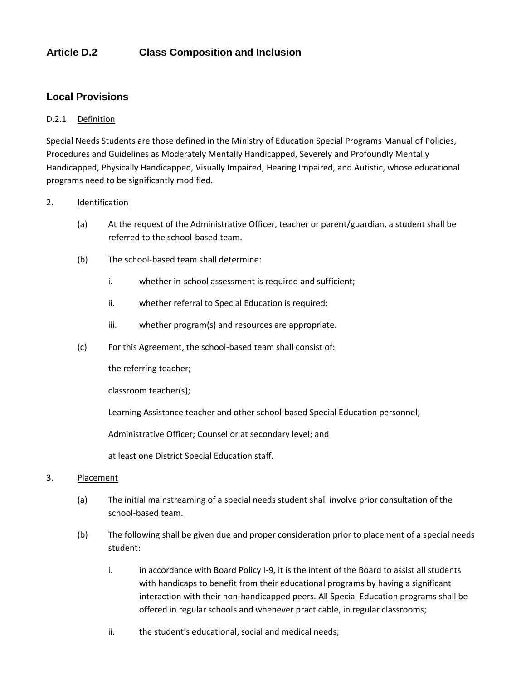### **Article D.2 Class Composition and Inclusion**

#### **Local Provisions**

#### D.2.1 Definition

Special Needs Students are those defined in the Ministry of Education Special Programs Manual of Policies, Procedures and Guidelines as Moderately Mentally Handicapped, Severely and Profoundly Mentally Handicapped, Physically Handicapped, Visually Impaired, Hearing Impaired, and Autistic, whose educational programs need to be significantly modified.

#### 2. Identification

- (a) At the request of the Administrative Officer, teacher or parent/guardian, a student shall be referred to the school-based team.
- (b) The school-based team shall determine:
	- i. whether in-school assessment is required and sufficient;
	- ii. whether referral to Special Education is required;
	- iii. whether program(s) and resources are appropriate.
- (c) For this Agreement, the school-based team shall consist of:

the referring teacher;

classroom teacher(s);

Learning Assistance teacher and other school-based Special Education personnel;

Administrative Officer; Counsellor at secondary level; and

at least one District Special Education staff.

#### 3. Placement

- (a) The initial mainstreaming of a special needs student shall involve prior consultation of the school-based team.
- (b) The following shall be given due and proper consideration prior to placement of a special needs student:
	- i. in accordance with Board Policy I-9, it is the intent of the Board to assist all students with handicaps to benefit from their educational programs by having a significant interaction with their non-handicapped peers. All Special Education programs shall be offered in regular schools and whenever practicable, in regular classrooms;
	- ii. the student's educational, social and medical needs;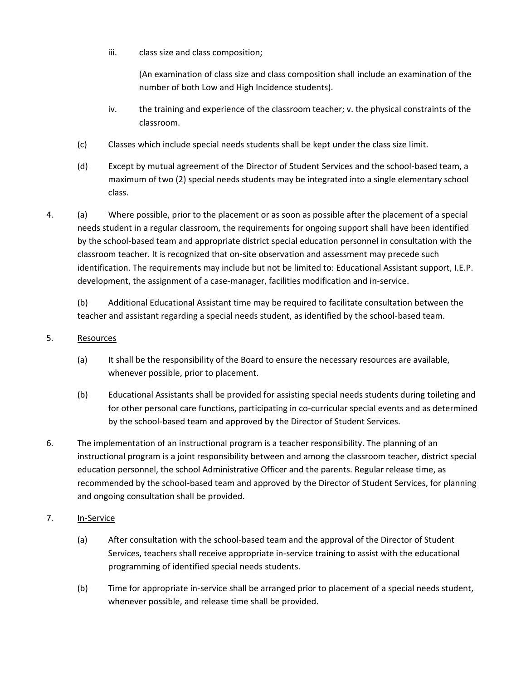iii. class size and class composition;

(An examination of class size and class composition shall include an examination of the number of both Low and High Incidence students).

- iv. the training and experience of the classroom teacher; v. the physical constraints of the classroom.
- (c) Classes which include special needs students shall be kept under the class size limit.
- (d) Except by mutual agreement of the Director of Student Services and the school-based team, a maximum of two (2) special needs students may be integrated into a single elementary school class.
- 4. (a) Where possible, prior to the placement or as soon as possible after the placement of a special needs student in a regular classroom, the requirements for ongoing support shall have been identified by the school-based team and appropriate district special education personnel in consultation with the classroom teacher. It is recognized that on-site observation and assessment may precede such identification. The requirements may include but not be limited to: Educational Assistant support, I.E.P. development, the assignment of a case-manager, facilities modification and in-service.

(b) Additional Educational Assistant time may be required to facilitate consultation between the teacher and assistant regarding a special needs student, as identified by the school-based team.

#### 5. Resources

- (a) It shall be the responsibility of the Board to ensure the necessary resources are available, whenever possible, prior to placement.
- (b) Educational Assistants shall be provided for assisting special needs students during toileting and for other personal care functions, participating in co-curricular special events and as determined by the school-based team and approved by the Director of Student Services.
- 6. The implementation of an instructional program is a teacher responsibility. The planning of an instructional program is a joint responsibility between and among the classroom teacher, district special education personnel, the school Administrative Officer and the parents. Regular release time, as recommended by the school-based team and approved by the Director of Student Services, for planning and ongoing consultation shall be provided.
- 7. In-Service
	- (a) After consultation with the school-based team and the approval of the Director of Student Services, teachers shall receive appropriate in-service training to assist with the educational programming of identified special needs students.
	- (b) Time for appropriate in-service shall be arranged prior to placement of a special needs student, whenever possible, and release time shall be provided.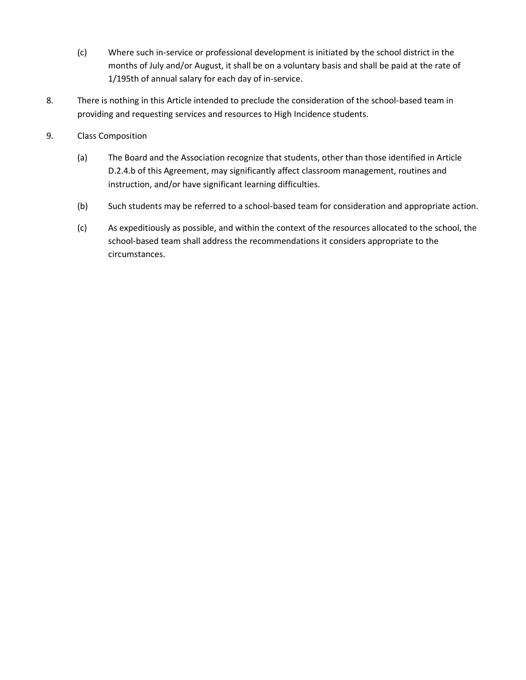- (c) Where such in-service or professional development is initiated by the school district in the months of July and/or August, it shall be on a voluntary basis and shall be paid at the rate of 1/195th of annual salary for each day of in-service.
- 8. There is nothing in this Article intended to preclude the consideration of the school-based team in providing and requesting services and resources to High Incidence students.
- 9. Class Composition
	- (a) The Board and the Association recognize that students, other than those identified in Article D.2.4.b of this Agreement, may significantly affect classroom management, routines and instruction, and/or have significant learning difficulties.
	- (b) Such students may be referred to a school-based team for consideration and appropriate action.
	- (c) As expeditiously as possible, and within the context of the resources allocated to the school, the school-based team shall address the recommendations it considers appropriate to the circumstances.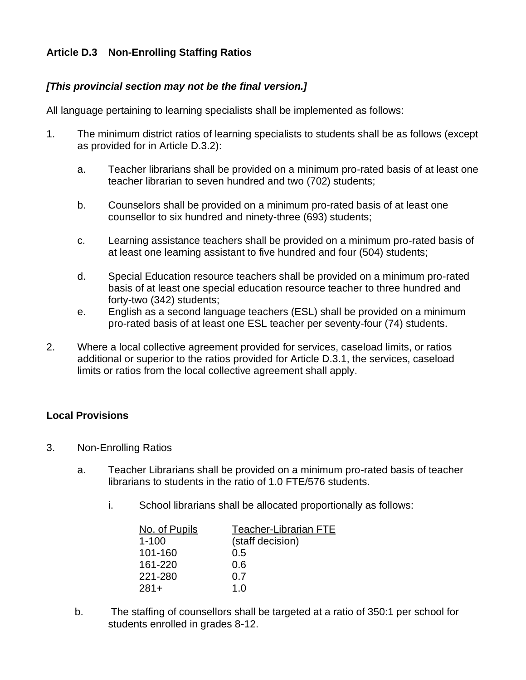## **Article D.3 Non-Enrolling Staffing Ratios**

### *[This provincial section may not be the final version.]*

All language pertaining to learning specialists shall be implemented as follows:

- 1. The minimum district ratios of learning specialists to students shall be as follows (except as provided for in Article D.3.2):
	- a. Teacher librarians shall be provided on a minimum pro-rated basis of at least one teacher librarian to seven hundred and two (702) students;
	- b. Counselors shall be provided on a minimum pro-rated basis of at least one counsellor to six hundred and ninety-three (693) students;
	- c. Learning assistance teachers shall be provided on a minimum pro-rated basis of at least one learning assistant to five hundred and four (504) students;
	- d. Special Education resource teachers shall be provided on a minimum pro-rated basis of at least one special education resource teacher to three hundred and forty-two (342) students;
	- e. English as a second language teachers (ESL) shall be provided on a minimum pro-rated basis of at least one ESL teacher per seventy-four (74) students.
- 2. Where a local collective agreement provided for services, caseload limits, or ratios additional or superior to the ratios provided for Article D.3.1, the services, caseload limits or ratios from the local collective agreement shall apply.

#### **Local Provisions**

- 3. Non-Enrolling Ratios
	- a. Teacher Librarians shall be provided on a minimum pro-rated basis of teacher librarians to students in the ratio of 1.0 FTE/576 students.
		- i. School librarians shall be allocated proportionally as follows:

| No. of Pupils | <b>Teacher-Librarian FTE</b> |
|---------------|------------------------------|
| $1 - 100$     | (staff decision)             |
| 101-160       | 0.5                          |
| 161-220       | 0.6                          |
| 221-280       | 0.7                          |
| $281+$        | 1.0                          |

b. The staffing of counsellors shall be targeted at a ratio of 350:1 per school for students enrolled in grades 8-12.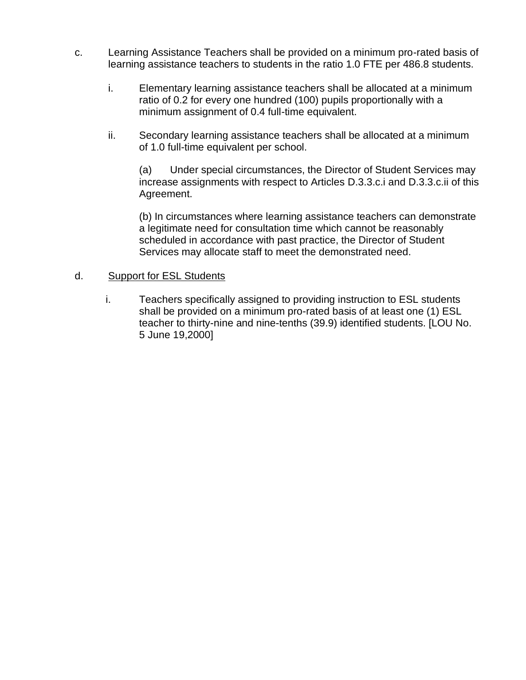- c. Learning Assistance Teachers shall be provided on a minimum pro-rated basis of learning assistance teachers to students in the ratio 1.0 FTE per 486.8 students.
	- i. Elementary learning assistance teachers shall be allocated at a minimum ratio of 0.2 for every one hundred (100) pupils proportionally with a minimum assignment of 0.4 full-time equivalent.
	- ii. Secondary learning assistance teachers shall be allocated at a minimum of 1.0 full-time equivalent per school.

(a) Under special circumstances, the Director of Student Services may increase assignments with respect to Articles D.3.3.c.i and D.3.3.c.ii of this Agreement.

(b) In circumstances where learning assistance teachers can demonstrate a legitimate need for consultation time which cannot be reasonably scheduled in accordance with past practice, the Director of Student Services may allocate staff to meet the demonstrated need.

#### d. Support for ESL Students

i. Teachers specifically assigned to providing instruction to ESL students shall be provided on a minimum pro-rated basis of at least one (1) ESL teacher to thirty-nine and nine-tenths (39.9) identified students. [LOU No. 5 June 19,2000]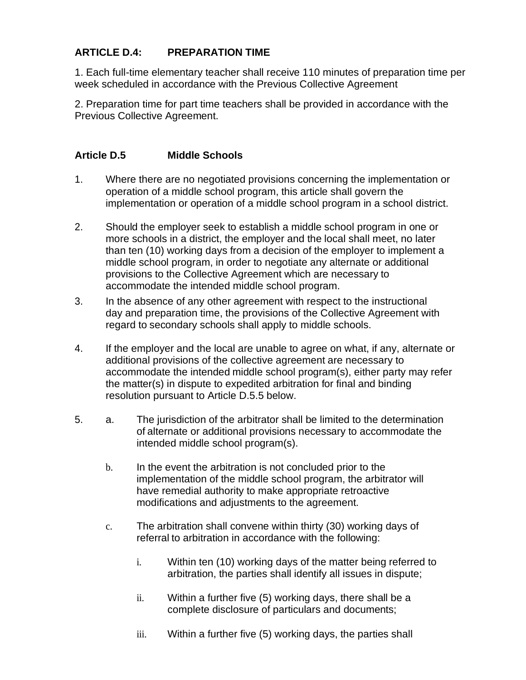## **ARTICLE D.4: PREPARATION TIME**

1. Each full-time elementary teacher shall receive 110 minutes of preparation time per week scheduled in accordance with the Previous Collective Agreement

2. Preparation time for part time teachers shall be provided in accordance with the Previous Collective Agreement.

### **Article D.5 Middle Schools**

- 1. Where there are no negotiated provisions concerning the implementation or operation of a middle school program, this article shall govern the implementation or operation of a middle school program in a school district.
- 2. Should the employer seek to establish a middle school program in one or more schools in a district, the employer and the local shall meet, no later than ten (10) working days from a decision of the employer to implement a middle school program, in order to negotiate any alternate or additional provisions to the Collective Agreement which are necessary to accommodate the intended middle school program.
- 3. In the absence of any other agreement with respect to the instructional day and preparation time, the provisions of the Collective Agreement with regard to secondary schools shall apply to middle schools.
- 4. If the employer and the local are unable to agree on what, if any, alternate or additional provisions of the collective agreement are necessary to accommodate the intended middle school program(s), either party may refer the matter(s) in dispute to expedited arbitration for final and binding resolution pursuant to Article D.5.5 below.
- 5. a. The jurisdiction of the arbitrator shall be limited to the determination of alternate or additional provisions necessary to accommodate the intended middle school program(s).
	- b. In the event the arbitration is not concluded prior to the implementation of the middle school program, the arbitrator will have remedial authority to make appropriate retroactive modifications and adjustments to the agreement.
	- c. The arbitration shall convene within thirty (30) working days of referral to arbitration in accordance with the following:
		- i. Within ten (10) working days of the matter being referred to arbitration, the parties shall identify all issues in dispute;
		- ii. Within a further five (5) working days, there shall be a complete disclosure of particulars and documents;
		- iii. Within a further five (5) working days, the parties shall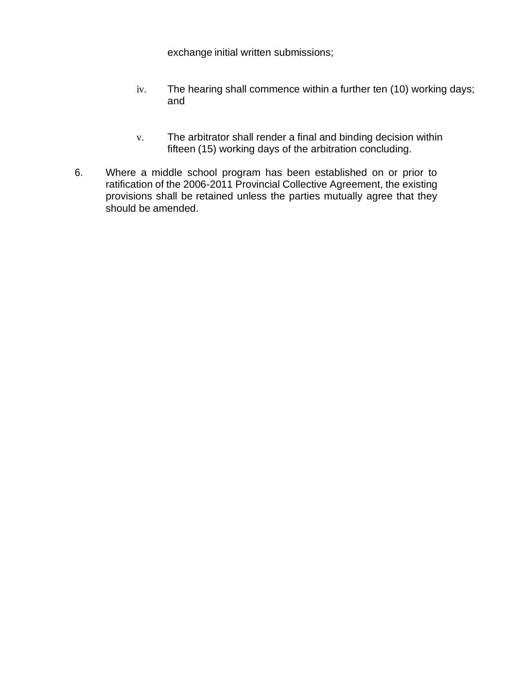exchange initial written submissions;

- iv. The hearing shall commence within a further ten (10) working days; and
- v. The arbitrator shall render a final and binding decision within fifteen (15) working days of the arbitration concluding.
- 6. Where a middle school program has been established on or prior to ratification of the 2006-2011 Provincial Collective Agreement, the existing provisions shall be retained unless the parties mutually agree that they should be amended.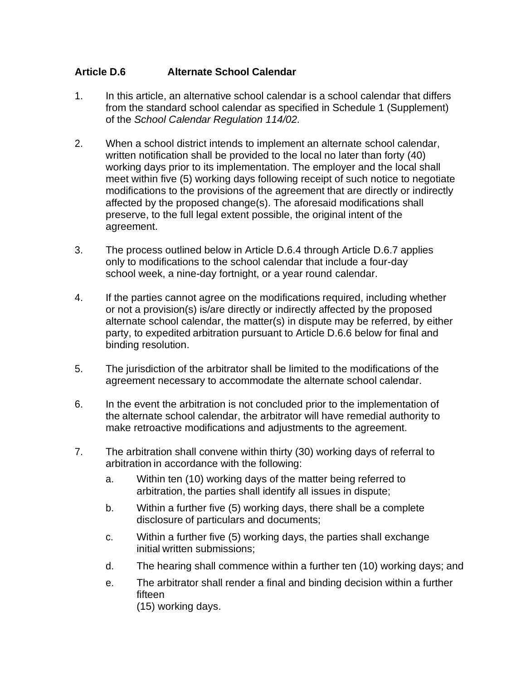### **Article D.6 Alternate School Calendar**

- 1. In this article, an alternative school calendar is a school calendar that differs from the standard school calendar as specified in Schedule 1 (Supplement) of the *School Calendar Regulation 114/02.*
- 2. When a school district intends to implement an alternate school calendar, written notification shall be provided to the local no later than forty (40) working days prior to its implementation. The employer and the local shall meet within five (5) working days following receipt of such notice to negotiate modifications to the provisions of the agreement that are directly or indirectly affected by the proposed change(s). The aforesaid modifications shall preserve, to the full legal extent possible, the original intent of the agreement.
- 3. The process outlined below in Article D.6.4 through Article D.6.7 applies only to modifications to the school calendar that include a four-day school week, a nine-day fortnight, or a year round calendar.
- 4. If the parties cannot agree on the modifications required, including whether or not a provision(s) is/are directly or indirectly affected by the proposed alternate school calendar, the matter(s) in dispute may be referred, by either party, to expedited arbitration pursuant to Article D.6.6 below for final and binding resolution.
- 5. The jurisdiction of the arbitrator shall be limited to the modifications of the agreement necessary to accommodate the alternate school calendar.
- 6. In the event the arbitration is not concluded prior to the implementation of the alternate school calendar, the arbitrator will have remedial authority to make retroactive modifications and adjustments to the agreement.
- 7. The arbitration shall convene within thirty (30) working days of referral to arbitration in accordance with the following:
	- a. Within ten (10) working days of the matter being referred to arbitration, the parties shall identify all issues in dispute;
	- b. Within a further five (5) working days, there shall be a complete disclosure of particulars and documents;
	- c. Within a further five (5) working days, the parties shall exchange initial written submissions;
	- d. The hearing shall commence within a further ten (10) working days; and
	- e. The arbitrator shall render a final and binding decision within a further fifteen (15) working days.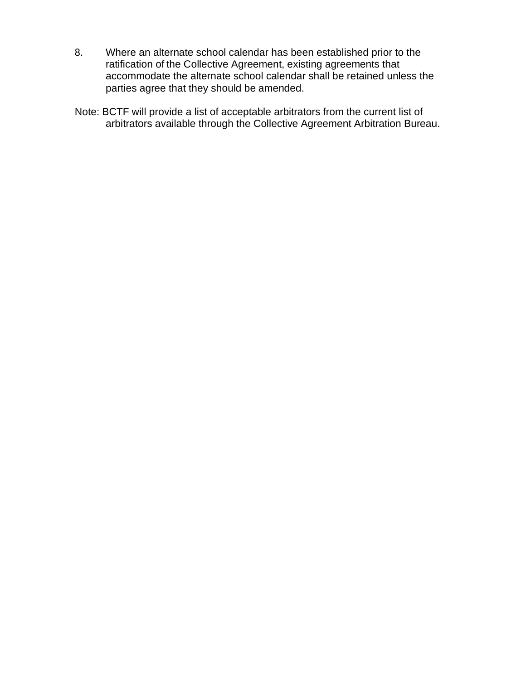- 8. Where an alternate school calendar has been established prior to the ratification of the Collective Agreement, existing agreements that accommodate the alternate school calendar shall be retained unless the parties agree that they should be amended.
- Note: BCTF will provide a list of acceptable arbitrators from the current list of arbitrators available through the Collective Agreement Arbitration Bureau.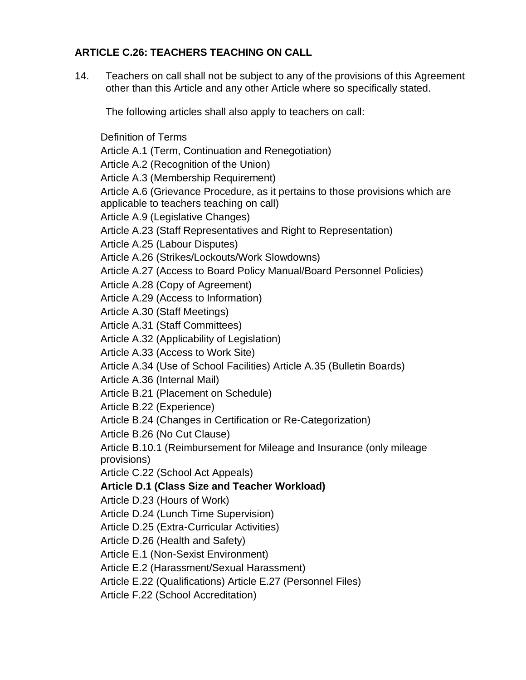## **ARTICLE C.26: TEACHERS TEACHING ON CALL**

14. Teachers on call shall not be subject to any of the provisions of this Agreement other than this Article and any other Article where so specifically stated.

The following articles shall also apply to teachers on call:

Definition of Terms Article A.1 (Term, Continuation and Renegotiation) Article A.2 (Recognition of the Union) Article A.3 (Membership Requirement) Article A.6 (Grievance Procedure, as it pertains to those provisions which are applicable to teachers teaching on call) Article A.9 (Legislative Changes) Article A.23 (Staff Representatives and Right to Representation) Article A.25 (Labour Disputes) Article A.26 (Strikes/Lockouts/Work Slowdowns) Article A.27 (Access to Board Policy Manual/Board Personnel Policies) Article A.28 (Copy of Agreement) Article A.29 (Access to Information) Article A.30 (Staff Meetings) Article A.31 (Staff Committees) Article A.32 (Applicability of Legislation) Article A.33 (Access to Work Site) Article A.34 (Use of School Facilities) Article A.35 (Bulletin Boards) Article A.36 (Internal Mail) Article B.21 (Placement on Schedule) Article B.22 (Experience) Article B.24 (Changes in Certification or Re-Categorization) Article B.26 (No Cut Clause) Article B.10.1 (Reimbursement for Mileage and Insurance (only mileage provisions) Article C.22 (School Act Appeals) **Article D.1 (Class Size and Teacher Workload)** Article D.23 (Hours of Work) Article D.24 (Lunch Time Supervision) Article D.25 (Extra-Curricular Activities) Article D.26 (Health and Safety) Article E.1 (Non-Sexist Environment) Article E.2 (Harassment/Sexual Harassment) Article E.22 (Qualifications) Article E.27 (Personnel Files) Article F.22 (School Accreditation)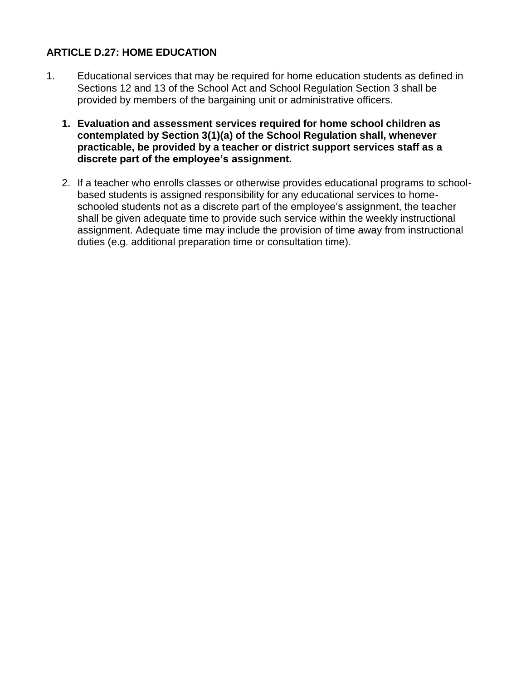### **ARTICLE D.27: HOME EDUCATION**

- 1. Educational services that may be required for home education students as defined in Sections 12 and 13 of the School Act and School Regulation Section 3 shall be provided by members of the bargaining unit or administrative officers.
	- **1. Evaluation and assessment services required for home school children as contemplated by Section 3(1)(a) of the School Regulation shall, whenever practicable, be provided by a teacher or district support services staff as a discrete part of the employee's assignment.**
	- 2. If a teacher who enrolls classes or otherwise provides educational programs to schoolbased students is assigned responsibility for any educational services to homeschooled students not as a discrete part of the employee's assignment, the teacher shall be given adequate time to provide such service within the weekly instructional assignment. Adequate time may include the provision of time away from instructional duties (e.g. additional preparation time or consultation time).